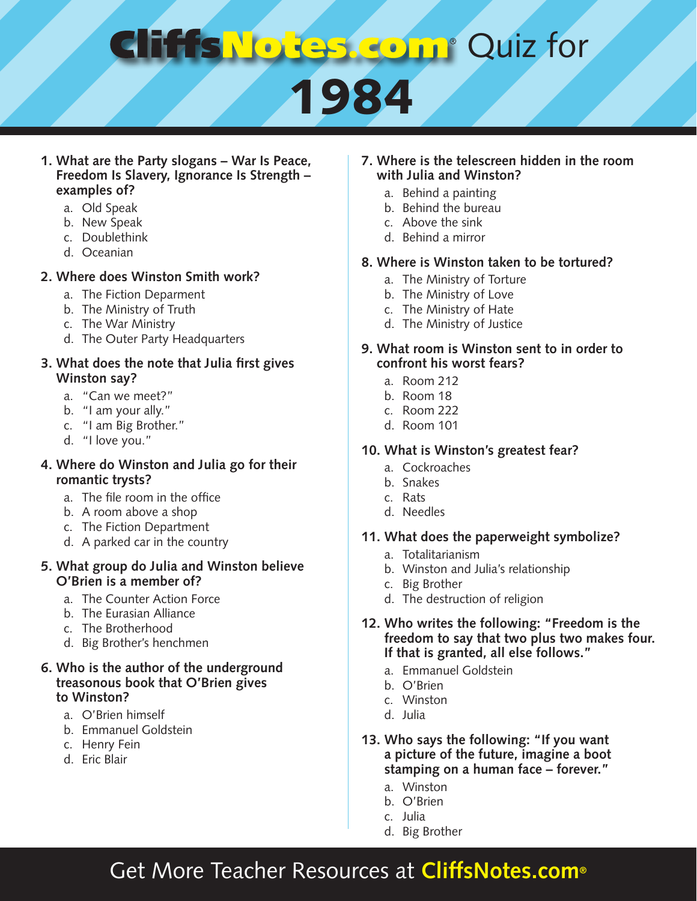# **Comp Quiz for**

# 1984

#### **1. What are the Party slogans – War Is Peace, Freedom Is Slavery, Ignorance Is Strength – examples of?**

- a. Old Speak
- b. New Speak
- c. Doublethink
- d. Oceanian

#### **2. Where does Winston Smith work?**

- a. The Fiction Deparment
- b. The Ministry of Truth
- c. The War Ministry
- d. The Outer Party Headquarters

#### **3. What does the note that Julia first gives Winston say?**

- a. "Can we meet?"
- b. "I am your ally."
- c. "I am Big Brother."
- d. "I love you."

#### **4. Where do Winston and Julia go for their romantic trysts?**

- a. The file room in the office
- b. A room above a shop
- c. The Fiction Department
- d. A parked car in the country

#### **5. What group do Julia and Winston believe O'Brien is a member of?**

- a. The Counter Action Force
- b. The Eurasian Alliance
- c. The Brotherhood
- d. Big Brother's henchmen

#### **6. Who is the author of the underground treasonous book that O'Brien gives to Winston?**

- a. O'Brien himself
- b. Emmanuel Goldstein
- c. Henry Fein
- d. Eric Blair

#### **7. Where is the telescreen hidden in the room with Julia and Winston?**

- a. Behind a painting
- b. Behind the bureau
- c. Above the sink
- d. Behind a mirror

#### **8. Where is Winston taken to be tortured?**

- a. The Ministry of Torture
- b. The Ministry of Love
- c. The Ministry of Hate
- d. The Ministry of Justice
- **9. What room is Winston sent to in order to confront his worst fears?**
	- a. Room 212
	- b. Room 18
	- c. Room 222
	- d. Room 101

#### **10. What is Winston's greatest fear?**

- a. Cockroaches
- b. Snakes
- c. Rats
- d. Needles

#### **11. What does the paperweight symbolize?**

- a. Totalitarianism
- b. Winston and Julia's relationship
- c. Big Brother
- d. The destruction of religion
- **12. Who writes the following: "Freedom is the freedom to say that two plus two makes four. If that is granted, all else follows."**
	- a. Emmanuel Goldstein
	- b. O'Brien
	- c. Winston
	- d. Julia
- **13. Who says the following: "If you want a picture of the future, imagine a boot stamping on a human face – forever."**
	- a. Winston
	- b. O'Brien
	- c. Julia
	- d. Big Brother

### Get More Teacher Resources at **CliffsNotes.com®**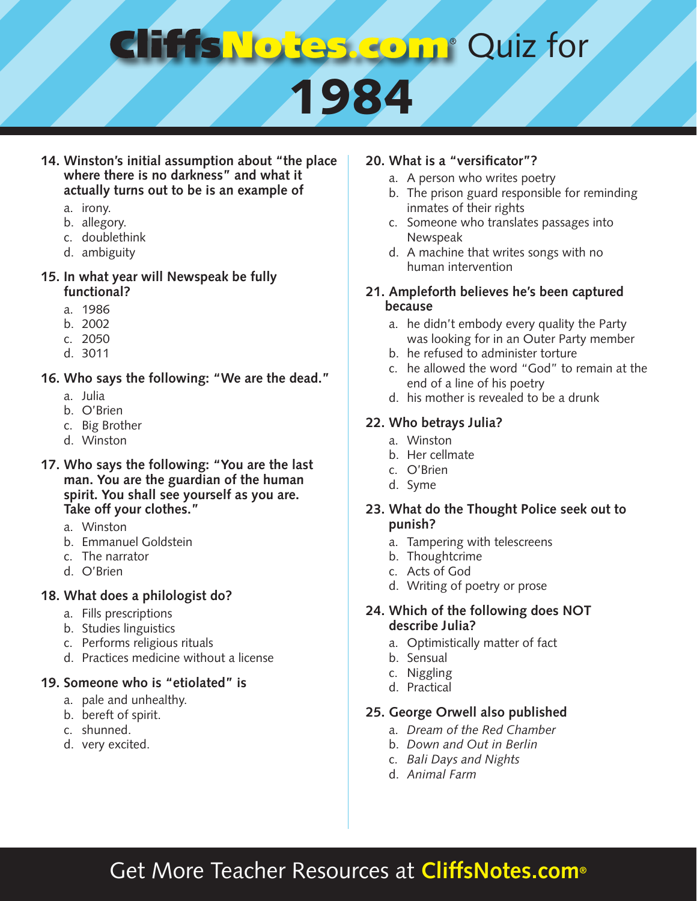# **COMP** Quiz for 1984

**14. Winston's initial assumption about "the place where there is no darkness" and what it actually turns out to be is an example of** 

- a. irony.
- b. allegory.
- c. doublethink
- d. ambiguity

#### **15. In what year will Newspeak be fully functional?**

- a. 1986
- b. 2002
- c. 2050
- d. 3011
- **16. Who says the following: "We are the dead."**
	- a. Julia
	- b. O'Brien
	- c. Big Brother
	- d. Winston
- **17. Who says the following: "You are the last man. You are the guardian of the human spirit. You shall see yourself as you are. Take off your clothes."** 
	- a. Winston
	- b. Emmanuel Goldstein
	- c. The narrator
	- d. O'Brien

#### **18. What does a philologist do?**

- a. Fills prescriptions
- b. Studies linguistics
- c. Performs religious rituals
- d. Practices medicine without a license

#### **19. Someone who is "etiolated" is**

- a. pale and unhealthy.
- b. bereft of spirit.
- c. shunned.
- d. very excited.

#### **20. What is a "versificator"?**

- a. A person who writes poetry
- b. The prison guard responsible for reminding inmates of their rights
- c. Someone who translates passages into Newspeak
- d. A machine that writes songs with no human intervention

#### **21. Ampleforth believes he's been captured because**

- a. he didn't embody every quality the Party was looking for in an Outer Party member
- b. he refused to administer torture
- c. he allowed the word "God" to remain at the end of a line of his poetry
- d. his mother is revealed to be a drunk

#### **22. Who betrays Julia?**

- a. Winston
- b. Her cellmate
- c. O'Brien
- d. Syme

#### **23. What do the Thought Police seek out to punish?**

- a. Tampering with telescreens
- b. Thoughtcrime
- c. Acts of God
- d. Writing of poetry or prose

#### **24. Which of the following does NOT describe Julia?**

- a. Optimistically matter of fact
- b. Sensual
- c. Niggling
- d. Practical

#### **25. George Orwell also published**

- a. *Dream of the Red Chamber*
- b. *Down and Out in Berlin*
- c. *Bali Days and Nights*
- d. *Animal Farm*

### Get More Teacher Resources at **CliffsNotes.com®**